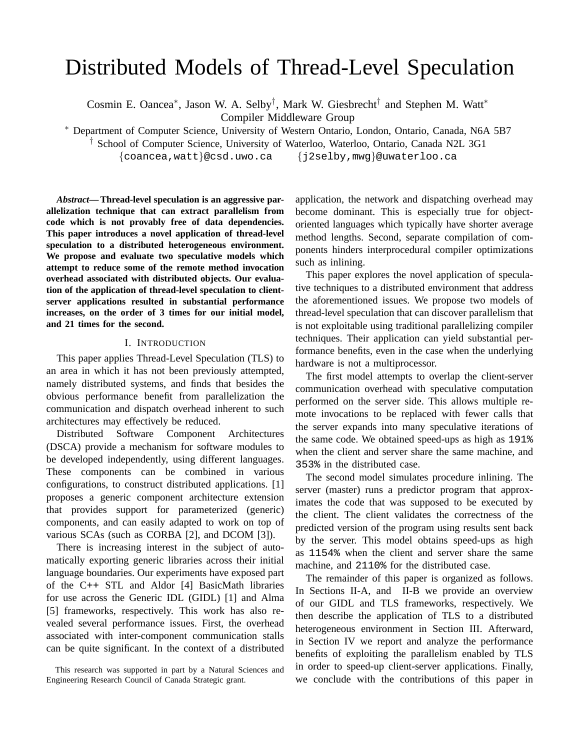# Distributed Models of Thread-Level Speculation

Cosmin E. Oancea<sup>∗</sup>, Jason W. A. Selby<sup>†</sup>, Mark W. Giesbrecht<sup>†</sup> and Stephen M. Watt<sup>∗</sup> Compiler Middleware Group

<sup>∗</sup> Department of Computer Science, University of Western Ontario, London, Ontario, Canada, N6A 5B7

† School of Computer Science, University of Waterloo, Waterloo, Ontario, Canada N2L 3G1

{coancea,watt}@csd.uwo.ca {j2selby,mwg}@uwaterloo.ca

*Abstract***— Thread-level speculation is an aggressive parallelization technique that can extract parallelism from code which is not provably free of data dependencies. This paper introduces a novel application of thread-level speculation to a distributed heterogeneous environment. We propose and evaluate two speculative models which attempt to reduce some of the remote method invocation overhead associated with distributed objects. Our evaluation of the application of thread-level speculation to clientserver applications resulted in substantial performance increases, on the order of 3 times for our initial model, and 21 times for the second.**

## I. INTRODUCTION

This paper applies Thread-Level Speculation (TLS) to an area in which it has not been previously attempted, namely distributed systems, and finds that besides the obvious performance benefit from parallelization the communication and dispatch overhead inherent to such architectures may effectively be reduced.

Distributed Software Component Architectures (DSCA) provide a mechanism for software modules to be developed independently, using different languages. These components can be combined in various configurations, to construct distributed applications. [1] proposes a generic component architecture extension that provides support for parameterized (generic) components, and can easily adapted to work on top of various SCAs (such as CORBA [2], and DCOM [3]).

There is increasing interest in the subject of automatically exporting generic libraries across their initial language boundaries. Our experiments have exposed part of the C++ STL and Aldor [4] BasicMath libraries for use across the Generic IDL (GIDL) [1] and Alma [5] frameworks, respectively. This work has also revealed several performance issues. First, the overhead associated with inter-component communication stalls can be quite significant. In the context of a distributed

application, the network and dispatching overhead may become dominant. This is especially true for objectoriented languages which typically have shorter average method lengths. Second, separate compilation of components hinders interprocedural compiler optimizations such as inlining.

This paper explores the novel application of speculative techniques to a distributed environment that address the aforementioned issues. We propose two models of thread-level speculation that can discover parallelism that is not exploitable using traditional parallelizing compiler techniques. Their application can yield substantial performance benefits, even in the case when the underlying hardware is not a multiprocessor.

The first model attempts to overlap the client-server communication overhead with speculative computation performed on the server side. This allows multiple remote invocations to be replaced with fewer calls that the server expands into many speculative iterations of the same code. We obtained speed-ups as high as 191% when the client and server share the same machine, and 353% in the distributed case.

The second model simulates procedure inlining. The server (master) runs a predictor program that approximates the code that was supposed to be executed by the client. The client validates the correctness of the predicted version of the program using results sent back by the server. This model obtains speed-ups as high as 1154% when the client and server share the same machine, and 2110% for the distributed case.

The remainder of this paper is organized as follows. In Sections II-A, and II-B we provide an overview of our GIDL and TLS frameworks, respectively. We then describe the application of TLS to a distributed heterogeneous environment in Section III. Afterward, in Section IV we report and analyze the performance benefits of exploiting the parallelism enabled by TLS in order to speed-up client-server applications. Finally, we conclude with the contributions of this paper in

This research was supported in part by a Natural Sciences and Engineering Research Council of Canada Strategic grant.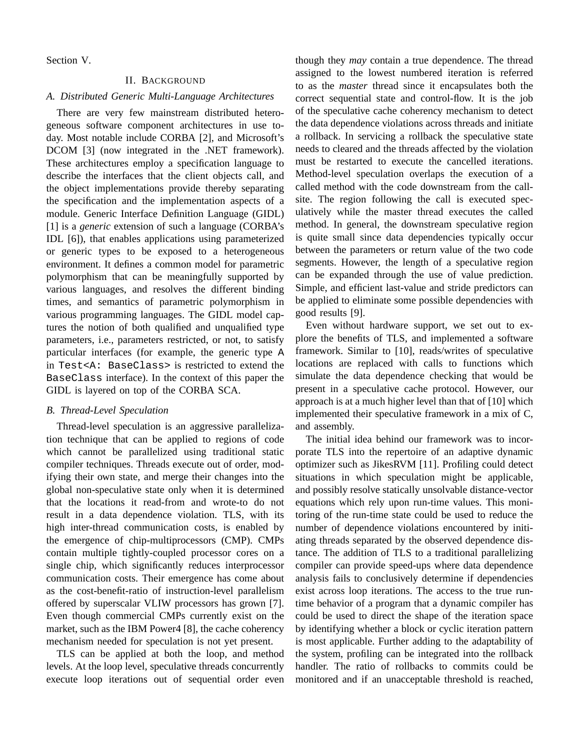Section V.

# II. BACKGROUND

#### *A. Distributed Generic Multi-Language Architectures*

There are very few mainstream distributed heterogeneous software component architectures in use today. Most notable include CORBA [2], and Microsoft's DCOM [3] (now integrated in the .NET framework). These architectures employ a specification language to describe the interfaces that the client objects call, and the object implementations provide thereby separating the specification and the implementation aspects of a module. Generic Interface Definition Language (GIDL) [1] is a *generic* extension of such a language (CORBA's IDL [6]), that enables applications using parameterized or generic types to be exposed to a heterogeneous environment. It defines a common model for parametric polymorphism that can be meaningfully supported by various languages, and resolves the different binding times, and semantics of parametric polymorphism in various programming languages. The GIDL model captures the notion of both qualified and unqualified type parameters, i.e., parameters restricted, or not, to satisfy particular interfaces (for example, the generic type A in Test<A: BaseClass> is restricted to extend the BaseClass interface). In the context of this paper the GIDL is layered on top of the CORBA SCA.

#### *B. Thread-Level Speculation*

Thread-level speculation is an aggressive parallelization technique that can be applied to regions of code which cannot be parallelized using traditional static compiler techniques. Threads execute out of order, modifying their own state, and merge their changes into the global non-speculative state only when it is determined that the locations it read-from and wrote-to do not result in a data dependence violation. TLS, with its high inter-thread communication costs, is enabled by the emergence of chip-multiprocessors (CMP). CMPs contain multiple tightly-coupled processor cores on a single chip, which significantly reduces interprocessor communication costs. Their emergence has come about as the cost-benefit-ratio of instruction-level parallelism offered by superscalar VLIW processors has grown [7]. Even though commercial CMPs currently exist on the market, such as the IBM Power4 [8], the cache coherency mechanism needed for speculation is not yet present.

TLS can be applied at both the loop, and method levels. At the loop level, speculative threads concurrently execute loop iterations out of sequential order even though they *may* contain a true dependence. The thread assigned to the lowest numbered iteration is referred to as the *master* thread since it encapsulates both the correct sequential state and control-flow. It is the job of the speculative cache coherency mechanism to detect the data dependence violations across threads and initiate a rollback. In servicing a rollback the speculative state needs to cleared and the threads affected by the violation must be restarted to execute the cancelled iterations. Method-level speculation overlaps the execution of a called method with the code downstream from the callsite. The region following the call is executed speculatively while the master thread executes the called method. In general, the downstream speculative region is quite small since data dependencies typically occur between the parameters or return value of the two code segments. However, the length of a speculative region can be expanded through the use of value prediction. Simple, and efficient last-value and stride predictors can be applied to eliminate some possible dependencies with good results [9].

Even without hardware support, we set out to explore the benefits of TLS, and implemented a software framework. Similar to [10], reads/writes of speculative locations are replaced with calls to functions which simulate the data dependence checking that would be present in a speculative cache protocol. However, our approach is at a much higher level than that of [10] which implemented their speculative framework in a mix of C, and assembly.

The initial idea behind our framework was to incorporate TLS into the repertoire of an adaptive dynamic optimizer such as JikesRVM [11]. Profiling could detect situations in which speculation might be applicable, and possibly resolve statically unsolvable distance-vector equations which rely upon run-time values. This monitoring of the run-time state could be used to reduce the number of dependence violations encountered by initiating threads separated by the observed dependence distance. The addition of TLS to a traditional parallelizing compiler can provide speed-ups where data dependence analysis fails to conclusively determine if dependencies exist across loop iterations. The access to the true runtime behavior of a program that a dynamic compiler has could be used to direct the shape of the iteration space by identifying whether a block or cyclic iteration pattern is most applicable. Further adding to the adaptability of the system, profiling can be integrated into the rollback handler. The ratio of rollbacks to commits could be monitored and if an unacceptable threshold is reached,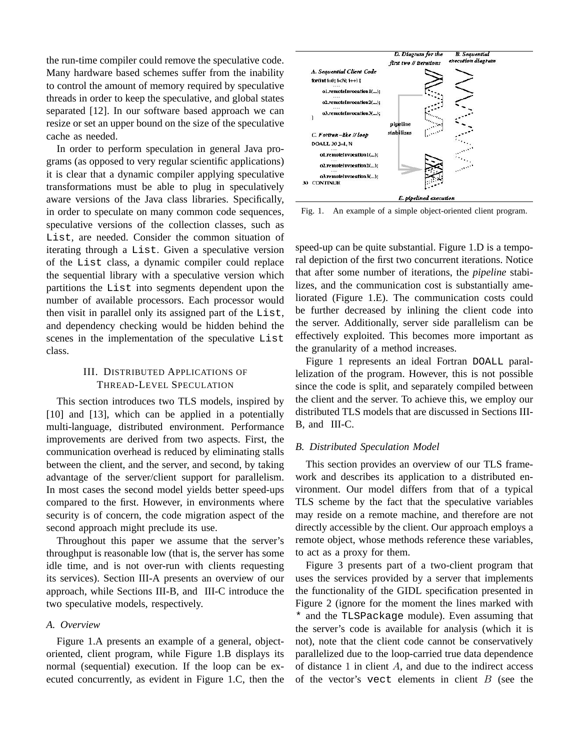the run-time compiler could remove the speculative code. Many hardware based schemes suffer from the inability to control the amount of memory required by speculative threads in order to keep the speculative, and global states separated [12]. In our software based approach we can resize or set an upper bound on the size of the speculative cache as needed.

In order to perform speculation in general Java programs (as opposed to very regular scientific applications) it is clear that a dynamic compiler applying speculative transformations must be able to plug in speculatively aware versions of the Java class libraries. Specifically, in order to speculate on many common code sequences, speculative versions of the collection classes, such as List, are needed. Consider the common situation of iterating through a List. Given a speculative version of the List class, a dynamic compiler could replace the sequential library with a speculative version which partitions the List into segments dependent upon the number of available processors. Each processor would then visit in parallel only its assigned part of the List, and dependency checking would be hidden behind the scenes in the implementation of the speculative List class.

## III. DISTRIBUTED APPLICATIONS OF THREAD-LEVEL SPECULATION

This section introduces two TLS models, inspired by [10] and [13], which can be applied in a potentially multi-language, distributed environment. Performance improvements are derived from two aspects. First, the communication overhead is reduced by eliminating stalls between the client, and the server, and second, by taking advantage of the server/client support for parallelism. In most cases the second model yields better speed-ups compared to the first. However, in environments where security is of concern, the code migration aspect of the second approach might preclude its use.

Throughout this paper we assume that the server's throughput is reasonable low (that is, the server has some idle time, and is not over-run with clients requesting its services). Section III-A presents an overview of our approach, while Sections III-B, and III-C introduce the two speculative models, respectively.

## *A. Overview*

Figure 1.A presents an example of a general, objectoriented, client program, while Figure 1.B displays its normal (sequential) execution. If the loop can be executed concurrently, as evident in Figure 1.C, then the



Fig. 1. An example of a simple object-oriented client program.

speed-up can be quite substantial. Figure 1.D is a temporal depiction of the first two concurrent iterations. Notice that after some number of iterations, the *pipeline* stabilizes, and the communication cost is substantially ameliorated (Figure 1.E). The communication costs could be further decreased by inlining the client code into the server. Additionally, server side parallelism can be effectively exploited. This becomes more important as the granularity of a method increases.

Figure 1 represents an ideal Fortran DOALL parallelization of the program. However, this is not possible since the code is split, and separately compiled between the client and the server. To achieve this, we employ our distributed TLS models that are discussed in Sections III-B, and III-C.

## *B. Distributed Speculation Model*

This section provides an overview of our TLS framework and describes its application to a distributed environment. Our model differs from that of a typical TLS scheme by the fact that the speculative variables may reside on a remote machine, and therefore are not directly accessible by the client. Our approach employs a remote object, whose methods reference these variables, to act as a proxy for them.

Figure 3 presents part of a two-client program that uses the services provided by a server that implements the functionality of the GIDL specification presented in Figure 2 (ignore for the moment the lines marked with \* and the TLSPackage module). Even assuming that the server's code is available for analysis (which it is not), note that the client code cannot be conservatively parallelized due to the loop-carried true data dependence of distance  $1$  in client  $A$ , and due to the indirect access of the vector's vect elements in client  $B$  (see the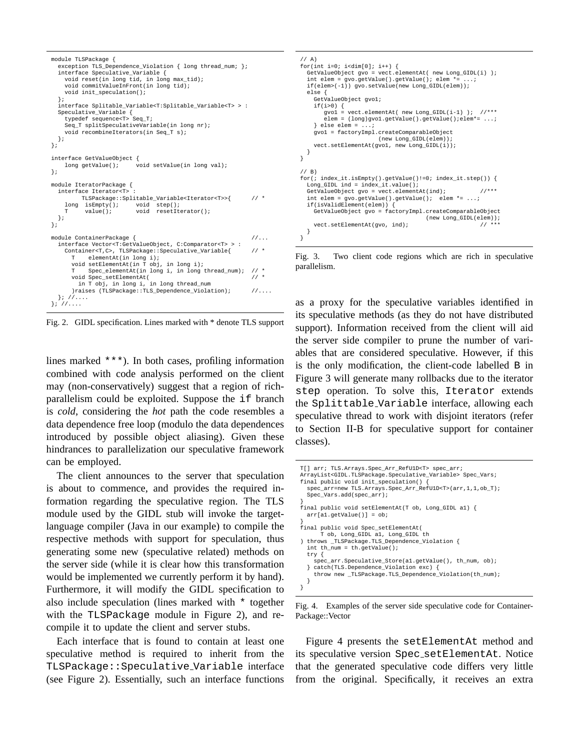```
module TLSPackage {
  exception TLS_Dependence_Violation { long thread_num; };
  interface Speculative_Variable {
    void reset(in long tid, in long max_tid);
    void commitValueInFront(in long tid);
    void init_speculation();
  };
  interface Splitable_Variable<T:Splitable_Variable<T> > :
  Speculative_Variable {
    typedef sequence<T> Seq_T;
    Seq_T splitSpeculativeVariable(in long nr);
    void recombineIterators(in Seq_T s);
  };
};
interface GetValueObject {
                            \overline{\text{void} setValue(in long val);
};
module IteratorPackage {
 interface Iterator<T> :
    TLSPackage::Splitable_Variable<Iterator<T>>{ // *<br>
long isEmpty(); void step();
    \begin{array}{cccc}\n\text{long} & \text{isEmpty}(); & \text{void} & \text{step}(); \\
\text{T} & \text{value}(); & \text{void} & \text{reset}.\n\end{array}void resetIterator();
 };
};
module ContainerPackage { //...
  interface Vector<T:GetValueObject, C:Comparator<T> >
     Container<T,C>, TLSPackage::Speculative_Variable{ // *
T elementAt(in long i);
       void setElementAt(in T obj, in long i);
            Spec_elementAt(in long i, in long thread_num); // *
       void Spec_setElementAt( // *
        in T obj, in long i, in long thread_num
       )raises (TLSPackage::TLS_Dependence_Violation); //....
  }; //....
}; //....
```
Fig. 2. GIDL specification. Lines marked with \* denote TLS support

lines marked \*\*\*). In both cases, profiling information combined with code analysis performed on the client may (non-conservatively) suggest that a region of richparallelism could be exploited. Suppose the if branch is *cold*, considering the *hot* path the code resembles a data dependence free loop (modulo the data dependences introduced by possible object aliasing). Given these hindrances to parallelization our speculative framework can be employed.

The client announces to the server that speculation is about to commence, and provides the required information regarding the speculative region. The TLS module used by the GIDL stub will invoke the targetlanguage compiler (Java in our example) to compile the respective methods with support for speculation, thus generating some new (speculative related) methods on the server side (while it is clear how this transformation would be implemented we currently perform it by hand). Furthermore, it will modify the GIDL specification to also include speculation (lines marked with \* together with the TLSPackage module in Figure 2), and recompile it to update the client and server stubs.

Each interface that is found to contain at least one speculative method is required to inherit from the TLSPackage::Speculative Variable interface (see Figure 2). Essentially, such an interface functions

```
// A)
for(int i=0; i<dim[0]; i++) {
  GetValueObject gvo = vect.elementAt( new Long_GIDL(i) );
  int elem = gvo.getValue() . getValue() ; elem *=
  if(elem>(-1)) gvo.setValue(new Long_GIDL(elem));
 else {
    GetValueObject gvo1;
    if(i>0) {
gvo1 = vect.elementAt( new Long_GIDL(i-1) ); //***
       elem = (long)gvo1.getValue().getValue();elem*= ...;
    \} else elem = \ldots;
    gvo1 = factoryImpl.createComparableObject
                       (new Long_GIDL(elem));
    vect.setElementAt(gvo1, new Long_GIDL(i));
 }
}
// B)
for(; index it.isEmpty().getValue()!=0; index_it.step()) {
  Long_GIDL ind = index_it.value();
  GetValueObject qvo = vect.elementAt(ind); //***int elem = gvo.getValue().getValue(); elem *= ...;
  if(isValidElement(elem)) {
    GetValueObject gvo = factoryImpl.createComparableObject
                                     (new Long_GIDL(elem));
    vect.setElementAt(gvo, ind);
 }
}
```
Fig. 3. Two client code regions which are rich in speculative parallelism.

as a proxy for the speculative variables identified in its speculative methods (as they do not have distributed support). Information received from the client will aid the server side compiler to prune the number of variables that are considered speculative. However, if this is the only modification, the client-code labelled B in Figure 3 will generate many rollbacks due to the iterator step operation. To solve this, Iterator extends the Splittable Variable interface, allowing each speculative thread to work with disjoint iterators (refer to Section II-B for speculative support for container classes).

```
T[] arr; TLS.Arrays.Spec_Arr_RefU1D<T> spec_arr;
ArrayList<GIDL.TLSPackage.Speculative_Variable> Spec_Vars;
final public void init_speculation() {
  spec_arr=new TLS.Arrays.Spec_Arr_RefU1D<T>(arr,1,1,ob_T);
  Spec_Vars.add(spec_arr);
}
final public void setElementAt(T ob, Long GIDL al) {
 arr[a1.getValue()] = ob;
}
final public void Spec_setElementAt(
      T ob, Long_GIDL a1, Long_GIDL th
) throws _TLSPackage.TLS_Dependence_Violation {
  int th_num = th.getValue();
  try {
    spec_arr.Speculative_Store(a1.getValue(), th_num, ob);
 } catch(TLS.Dependence_Violation exc) {
    throw new _TLSPackage.TLS_Dependence_Violation(th_num);
 }
}
```
Fig. 4. Examples of the server side speculative code for Container-Package::Vector

Figure 4 presents the setElementAt method and its speculative version Spec setElementAt. Notice that the generated speculative code differs very little from the original. Specifically, it receives an extra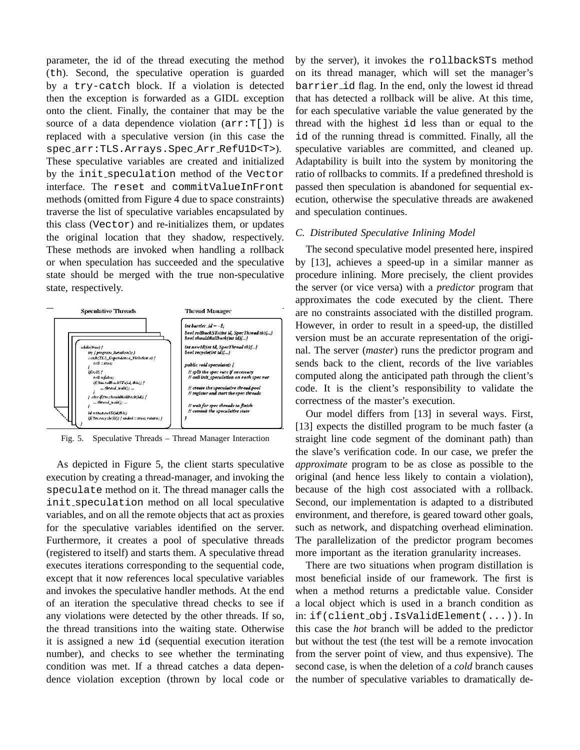parameter, the id of the thread executing the method (th). Second, the speculative operation is guarded by a try-catch block. If a violation is detected then the exception is forwarded as a GIDL exception onto the client. Finally, the container that may be the source of a data dependence violation  $(\text{arr}:T[]$ ) is replaced with a speculative version (in this case the spec arr:TLS.Arrays.Spec Arr RefU1D<T>). These speculative variables are created and initialized by the init speculation method of the Vector interface. The reset and commitValueInFront methods (omitted from Figure 4 due to space constraints) traverse the list of speculative variables encapsulated by this class (Vector) and re-initializes them, or updates the original location that they shadow, respectively. These methods are invoked when handling a rollback or when speculation has succeeded and the speculative state should be merged with the true non-speculative state, respectively.



Fig. 5. Speculative Threads – Thread Manager Interaction

As depicted in Figure 5, the client starts speculative execution by creating a thread-manager, and invoking the speculate method on it. The thread manager calls the init speculation method on all local speculative variables, and on all the remote objects that act as proxies for the speculative variables identified on the server. Furthermore, it creates a pool of speculative threads (registered to itself) and starts them. A speculative thread executes iterations corresponding to the sequential code, except that it now references local speculative variables and invokes the speculative handler methods. At the end of an iteration the speculative thread checks to see if any violations were detected by the other threads. If so, the thread transitions into the waiting state. Otherwise it is assigned a new id (sequential execution iteration number), and checks to see whether the terminating condition was met. If a thread catches a data dependence violation exception (thrown by local code or

by the server), it invokes the rollbackSTs method on its thread manager, which will set the manager's barrier id flag. In the end, only the lowest id thread that has detected a rollback will be alive. At this time, for each speculative variable the value generated by the thread with the highest id less than or equal to the id of the running thread is committed. Finally, all the speculative variables are committed, and cleaned up. Adaptability is built into the system by monitoring the ratio of rollbacks to commits. If a predefined threshold is passed then speculation is abandoned for sequential execution, otherwise the speculative threads are awakened and speculation continues.

## *C. Distributed Speculative Inlining Model*

The second speculative model presented here, inspired by [13], achieves a speed-up in a similar manner as procedure inlining. More precisely, the client provides the server (or vice versa) with a *predictor* program that approximates the code executed by the client. There are no constraints associated with the distilled program. However, in order to result in a speed-up, the distilled version must be an accurate representation of the original. The server (*master*) runs the predictor program and sends back to the client, records of the live variables computed along the anticipated path through the client's code. It is the client's responsibility to validate the correctness of the master's execution.

Our model differs from [13] in several ways. First, [13] expects the distilled program to be much faster (a straight line code segment of the dominant path) than the slave's verification code. In our case, we prefer the *approximate* program to be as close as possible to the original (and hence less likely to contain a violation), because of the high cost associated with a rollback. Second, our implementation is adapted to a distributed environment, and therefore, is geared toward other goals, such as network, and dispatching overhead elimination. The parallelization of the predictor program becomes more important as the iteration granularity increases.

There are two situations when program distillation is most beneficial inside of our framework. The first is when a method returns a predictable value. Consider a local object which is used in a branch condition as in: if(client obj.IsValidElement(...)). In this case the *hot* branch will be added to the predictor but without the test (the test will be a remote invocation from the server point of view, and thus expensive). The second case, is when the deletion of a *cold* branch causes the number of speculative variables to dramatically de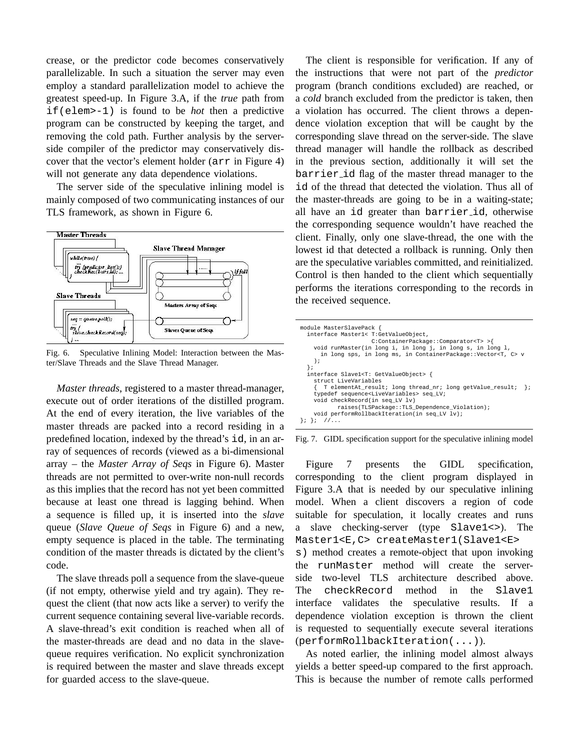crease, or the predictor code becomes conservatively parallelizable. In such a situation the server may even employ a standard parallelization model to achieve the greatest speed-up. In Figure 3.A, if the *true* path from if(elem>-1) is found to be *hot* then a predictive program can be constructed by keeping the target, and removing the cold path. Further analysis by the serverside compiler of the predictor may conservatively discover that the vector's element holder (arr in Figure 4) will not generate any data dependence violations.

The server side of the speculative inlining model is mainly composed of two communicating instances of our TLS framework, as shown in Figure 6.



Fig. 6. Speculative Inlining Model: Interaction between the Master/Slave Threads and the Slave Thread Manager.

*Master threads*, registered to a master thread-manager, execute out of order iterations of the distilled program. At the end of every iteration, the live variables of the master threads are packed into a record residing in a predefined location, indexed by the thread's id, in an array of sequences of records (viewed as a bi-dimensional array – the *Master Array of Seqs* in Figure 6). Master threads are not permitted to over-write non-null records as this implies that the record has not yet been committed because at least one thread is lagging behind. When a sequence is filled up, it is inserted into the *slave* queue (*Slave Queue of Seqs* in Figure 6) and a new, empty sequence is placed in the table. The terminating condition of the master threads is dictated by the client's code.

The slave threads poll a sequence from the slave-queue (if not empty, otherwise yield and try again). They request the client (that now acts like a server) to verify the current sequence containing several live-variable records. A slave-thread's exit condition is reached when all of the master-threads are dead and no data in the slavequeue requires verification. No explicit synchronization is required between the master and slave threads except for guarded access to the slave-queue.

The client is responsible for verification. If any of the instructions that were not part of the *predictor* program (branch conditions excluded) are reached, or a *cold* branch excluded from the predictor is taken, then a violation has occurred. The client throws a dependence violation exception that will be caught by the corresponding slave thread on the server-side. The slave thread manager will handle the rollback as described in the previous section, additionally it will set the barrier id flag of the master thread manager to the id of the thread that detected the violation. Thus all of the master-threads are going to be in a waiting-state; all have an id greater than barrier id, otherwise the corresponding sequence wouldn't have reached the client. Finally, only one slave-thread, the one with the lowest id that detected a rollback is running. Only then are the speculative variables committed, and reinitialized. Control is then handed to the client which sequentially performs the iterations corresponding to the records in the received sequence.

| module MasterSlavePack {<br>interface Master1< T:GetValueObject,<br>C:ContainerPackage::Comparator <t> &gt;{<br/>void runMaster(in long i, in long j, in long s, in long 1,<br/>in long sps, in long ms, in ContainerPackage::Vector<t, c=""> v</t,></t> |
|----------------------------------------------------------------------------------------------------------------------------------------------------------------------------------------------------------------------------------------------------------|
| $\rightarrow$                                                                                                                                                                                                                                            |
| interface Slavel <t: getvalueobject=""> {<br/>struct LiveVariables</t:>                                                                                                                                                                                  |
| T elementAt result; long thread nr; long getValue result;<br>$\cdot$<br>typedef sequence <livevariables> seq LV;</livevariables>                                                                                                                         |
| void checkRecord(in seq LV lv)<br>raises(TLSPackage::TLS Dependence Violation);                                                                                                                                                                          |
| void performRollbackIteration(in seq LV lv);<br>$\frac{1}{2}$<br>$\{7, 8, 7\}$                                                                                                                                                                           |

Fig. 7. GIDL specification support for the speculative inlining model

Figure 7 presents the GIDL specification, corresponding to the client program displayed in Figure 3.A that is needed by our speculative inlining model. When a client discovers a region of code suitable for speculation, it locally creates and runs a slave checking-server (type Slave1<>). The Master1<E,C> createMaster1(Slave1<E>

s) method creates a remote-object that upon invoking the runMaster method will create the serverside two-level TLS architecture described above. The checkRecord method in the Slave1 interface validates the speculative results. If a dependence violation exception is thrown the client is requested to sequentially execute several iterations (performRollbackIteration(...)).

As noted earlier, the inlining model almost always yields a better speed-up compared to the first approach. This is because the number of remote calls performed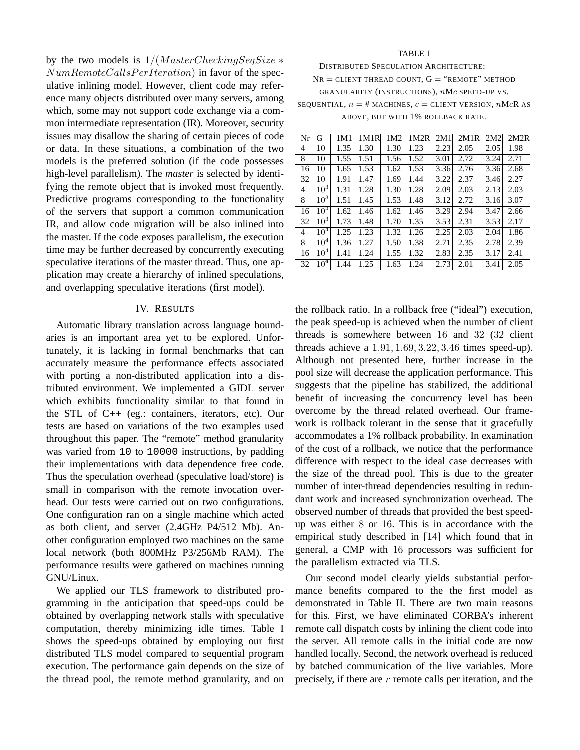by the two models is  $1/(MasterCheckingSeqSize *$  $NumRemoteCalls PerIteration)$  in favor of the speculative inlining model. However, client code may reference many objects distributed over many servers, among which, some may not support code exchange via a common intermediate representation (IR). Moreover, security issues may disallow the sharing of certain pieces of code or data. In these situations, a combination of the two models is the preferred solution (if the code possesses high-level parallelism). The *master* is selected by identifying the remote object that is invoked most frequently. Predictive programs corresponding to the functionality of the servers that support a common communication IR, and allow code migration will be also inlined into the master. If the code exposes parallelism, the execution time may be further decreased by concurrently executing speculative iterations of the master thread. Thus, one application may create a hierarchy of inlined speculations, and overlapping speculative iterations (first model).

## IV. RESULTS

Automatic library translation across language boundaries is an important area yet to be explored. Unfortunately, it is lacking in formal benchmarks that can accurately measure the performance effects associated with porting a non-distributed application into a distributed environment. We implemented a GIDL server which exhibits functionality similar to that found in the STL of C++ (eg.: containers, iterators, etc). Our tests are based on variations of the two examples used throughout this paper. The "remote" method granularity was varied from 10 to 10000 instructions, by padding their implementations with data dependence free code. Thus the speculation overhead (speculative load/store) is small in comparison with the remote invocation overhead. Our tests were carried out on two configurations. One configuration ran on a single machine which acted as both client, and server (2.4GHz P4/512 Mb). Another configuration employed two machines on the same local network (both 800MHz P3/256Mb RAM). The performance results were gathered on machines running GNU/Linux.

We applied our TLS framework to distributed programming in the anticipation that speed-ups could be obtained by overlapping network stalls with speculative computation, thereby minimizing idle times. Table I shows the speed-ups obtained by employing our first distributed TLS model compared to sequential program execution. The performance gain depends on the size of the thread pool, the remote method granularity, and on

#### TABLE I

DISTRIBUTED SPECULATION ARCHITECTURE:  $N_R =$  CLIENT THREAD COUNT,  $G =$  "REMOTE" METHOD GRANULARITY (INSTRUCTIONS), nMc SPEED-UP VS. SEQUENTIAL,  $n = #$  MACHINES,  $c =$  CLIENT VERSION,  $nMcR$  AS ABOVE, BUT WITH 1% ROLLBACK RATE.

| Nr | G               | 1M1  | 1M1R | 1M2  | 1M2R | 2M1  | 2M1R | 2M2  | 2M2R |
|----|-----------------|------|------|------|------|------|------|------|------|
| 4  | 10              | 1.35 | 1.30 | 1.30 | 1.23 | 2.23 | 2.05 | 2.05 | 1.98 |
| 8  | 10              | 1.55 | 1.51 | 1.56 | 1.52 | 3.01 | 2.72 | 3.24 | 2.71 |
| 16 | 10              | 1.65 | 1.53 | 1.62 | 1.53 | 3.36 | 2.76 | 3.36 | 2.68 |
| 32 | 10              | 1.91 | 1.47 | 1.69 | 1.44 | 3.22 | 2.37 | 3.46 | 2.27 |
| 4  | $10^3$          | 1.31 | 1.28 | 1.30 | 1.28 | 2.09 | 2.03 | 2.13 | 2.03 |
| 8  | $10^3$          | 1.51 | 1.45 | 1.53 | 1.48 | 3.12 | 2.72 | 3.16 | 3.07 |
| 16 | $10^3$          | 1.62 | 1.46 | 1.62 | 1.46 | 3.29 | 2.94 | 3.47 | 2.66 |
| 32 | $10^3$          | 1.73 | 1.48 | 1.70 | 1.35 | 3.53 | 2.31 | 3.53 | 2.17 |
| 4  | $10^4$          | 1.25 | 1.23 | 1.32 | 1.26 | 2.25 | 2.03 | 2.04 | 1.86 |
| 8  | $10^4$          | 1.36 | 1.27 | 1.50 | 1.38 | 2.71 | 2.35 | 2.78 | 2.39 |
| 16 | $10^4$          | 1.41 | 1.24 | 1.55 | 1.32 | 2.83 | 2.35 | 3.17 | 2.41 |
| 32 | 10 <sup>4</sup> | 1.44 | 1.25 | 1.63 | 1.24 | 2.73 | 2.01 | 3.41 | 2.05 |

the rollback ratio. In a rollback free ("ideal") execution, the peak speed-up is achieved when the number of client threads is somewhere between 16 and 32 (32 client threads achieve a 1.91, 1.69, 3.22, 3.46 times speed-up). Although not presented here, further increase in the pool size will decrease the application performance. This suggests that the pipeline has stabilized, the additional benefit of increasing the concurrency level has been overcome by the thread related overhead. Our framework is rollback tolerant in the sense that it gracefully accommodates a 1% rollback probability. In examination of the cost of a rollback, we notice that the performance difference with respect to the ideal case decreases with the size of the thread pool. This is due to the greater number of inter-thread dependencies resulting in redundant work and increased synchronization overhead. The observed number of threads that provided the best speedup was either 8 or 16. This is in accordance with the empirical study described in [14] which found that in general, a CMP with 16 processors was sufficient for the parallelism extracted via TLS.

Our second model clearly yields substantial performance benefits compared to the the first model as demonstrated in Table II. There are two main reasons for this. First, we have eliminated CORBA's inherent remote call dispatch costs by inlining the client code into the server. All remote calls in the initial code are now handled locally. Second, the network overhead is reduced by batched communication of the live variables. More precisely, if there are  $r$  remote calls per iteration, and the